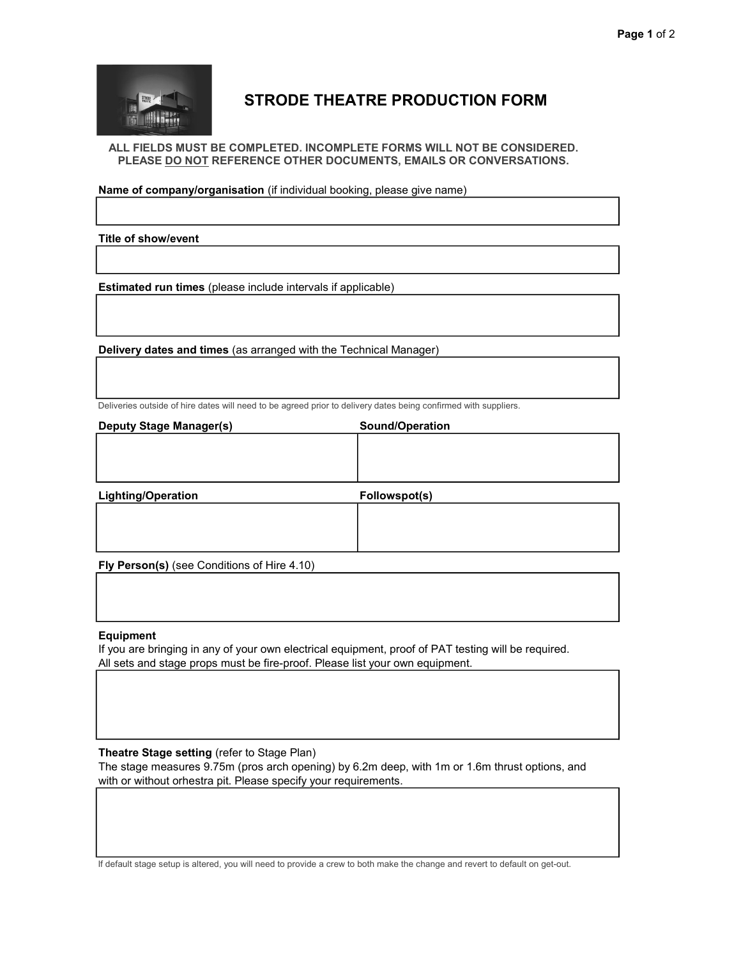

## STRODE THEATRE PRODUCTION FORM

ALL FIELDS MUST BE COMPLETED. INCOMPLETE FORMS WILL NOT BE CONSIDERED. PLEASE DO NOT REFERENCE OTHER DOCUMENTS, EMAILS OR CONVERSATIONS.

Name of company/organisation (if individual booking, please give name)

Title of show/event

Estimated run times (please include intervals if applicable)

Delivery dates and times (as arranged with the Technical Manager)

Deliveries outside of hire dates will need to be agreed prior to delivery dates being confirmed with suppliers.

| <b>Deputy Stage Manager(s)</b> | Sound/Operation |  |
|--------------------------------|-----------------|--|
|                                |                 |  |
|                                |                 |  |
|                                |                 |  |
|                                |                 |  |
| <b>Lighting/Operation</b>      | Followspot(s)   |  |
|                                |                 |  |
|                                |                 |  |

Fly Person(s) (see Conditions of Hire 4.10)

## Equipment

If you are bringing in any of your own electrical equipment, proof of PAT testing will be required. All sets and stage props must be fire-proof. Please list your own equipment.

## Theatre Stage setting (refer to Stage Plan)

The stage measures 9.75m (pros arch opening) by 6.2m deep, with 1m or 1.6m thrust options, and with or without orhestra pit. Please specify your requirements.

If default stage setup is altered, you will need to provide a crew to both make the change and revert to default on get-out.